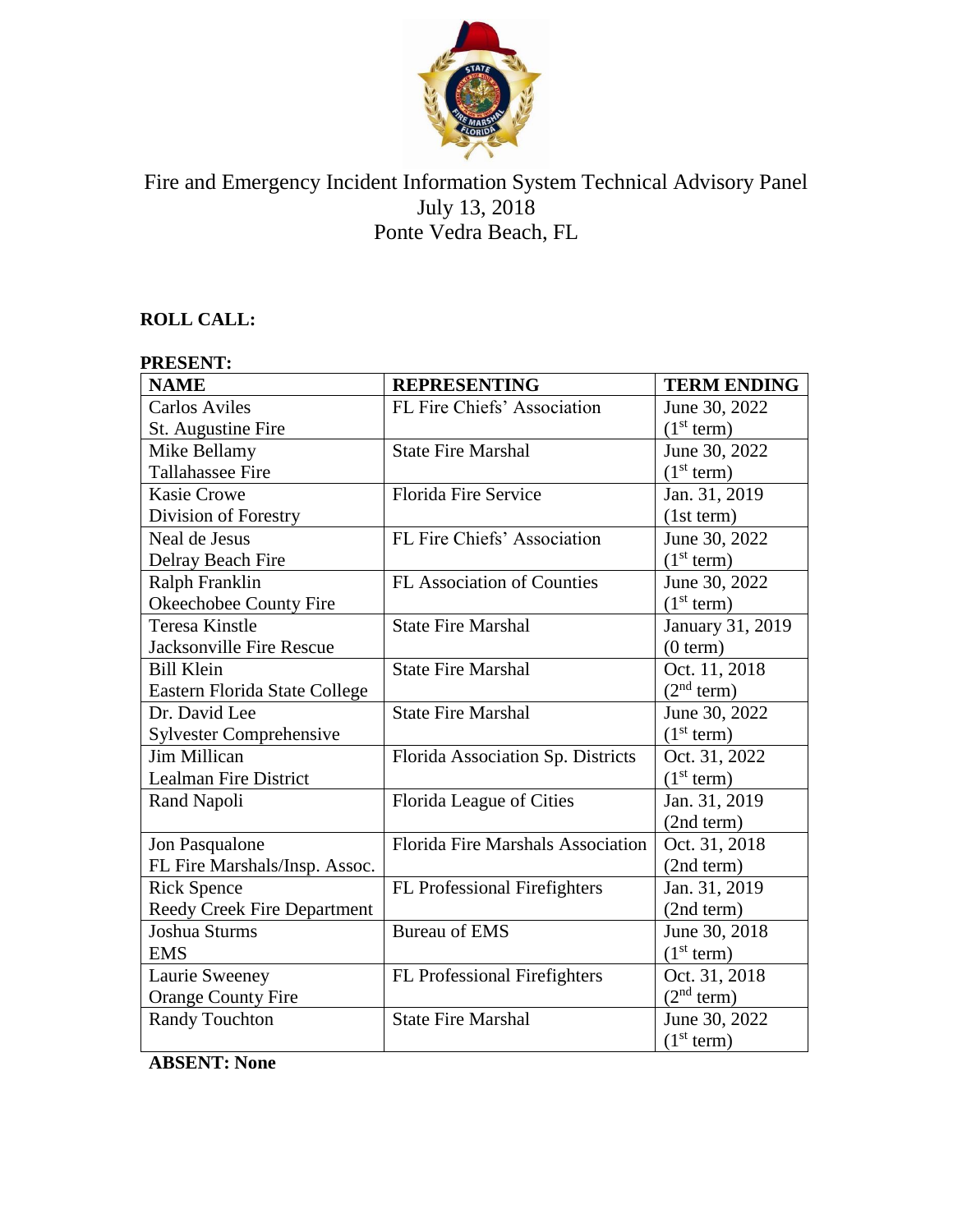

## Fire and Emergency Incident Information System Technical Advisory Panel July 13, 2018 Ponte Vedra Beach, FL

## **ROLL CALL:**

# **PRESENT:**

| <b>NAME</b>                    | <b>REPRESENTING</b>                      | <b>TERM ENDING</b>     |
|--------------------------------|------------------------------------------|------------------------|
| <b>Carlos Aviles</b>           | FL Fire Chiefs' Association              | June 30, 2022          |
| St. Augustine Fire             |                                          | (1 <sup>st</sup> term) |
| Mike Bellamy                   | <b>State Fire Marshal</b>                | June 30, 2022          |
| <b>Tallahassee Fire</b>        |                                          | (1 <sup>st</sup> term) |
| <b>Kasie Crowe</b>             | Florida Fire Service                     | Jan. 31, 2019          |
| Division of Forestry           |                                          | (1st term)             |
| Neal de Jesus                  | FL Fire Chiefs' Association              | June 30, 2022          |
| Delray Beach Fire              |                                          | (1 <sup>st</sup> term) |
| Ralph Franklin                 | <b>FL Association of Counties</b>        | June 30, 2022          |
| Okeechobee County Fire         |                                          | (1 <sup>st</sup> term) |
| <b>Teresa Kinstle</b>          | <b>State Fire Marshal</b>                | January 31, 2019       |
| Jacksonville Fire Rescue       |                                          | (0 term)               |
| <b>Bill Klein</b>              | <b>State Fire Marshal</b>                | Oct. 11, 2018          |
| Eastern Florida State College  |                                          | (2 <sup>nd</sup> term) |
| Dr. David Lee                  | <b>State Fire Marshal</b>                | June 30, 2022          |
| <b>Sylvester Comprehensive</b> |                                          | (1 <sup>st</sup> term) |
| <b>Jim Millican</b>            | Florida Association Sp. Districts        | Oct. 31, 2022          |
| Lealman Fire District          |                                          | (1 <sup>st</sup> term) |
| Rand Napoli                    | Florida League of Cities                 | Jan. 31, 2019          |
|                                |                                          | (2nd term)             |
| Jon Pasqualone                 | <b>Florida Fire Marshals Association</b> | Oct. 31, 2018          |
| FL Fire Marshals/Insp. Assoc.  |                                          | (2nd term)             |
| <b>Rick Spence</b>             | FL Professional Firefighters             | Jan. 31, 2019          |
| Reedy Creek Fire Department    |                                          | (2nd term)             |
| Joshua Sturms                  | <b>Bureau of EMS</b>                     | June 30, 2018          |
| <b>EMS</b>                     |                                          | (1 <sup>st</sup> term) |
| Laurie Sweeney                 | FL Professional Firefighters             | Oct. 31, 2018          |
| <b>Orange County Fire</b>      |                                          | (2 <sup>nd</sup> term) |
| <b>Randy Touchton</b>          | <b>State Fire Marshal</b>                | June 30, 2022          |
|                                |                                          | (1 <sup>st</sup> term) |

**ABSENT: None**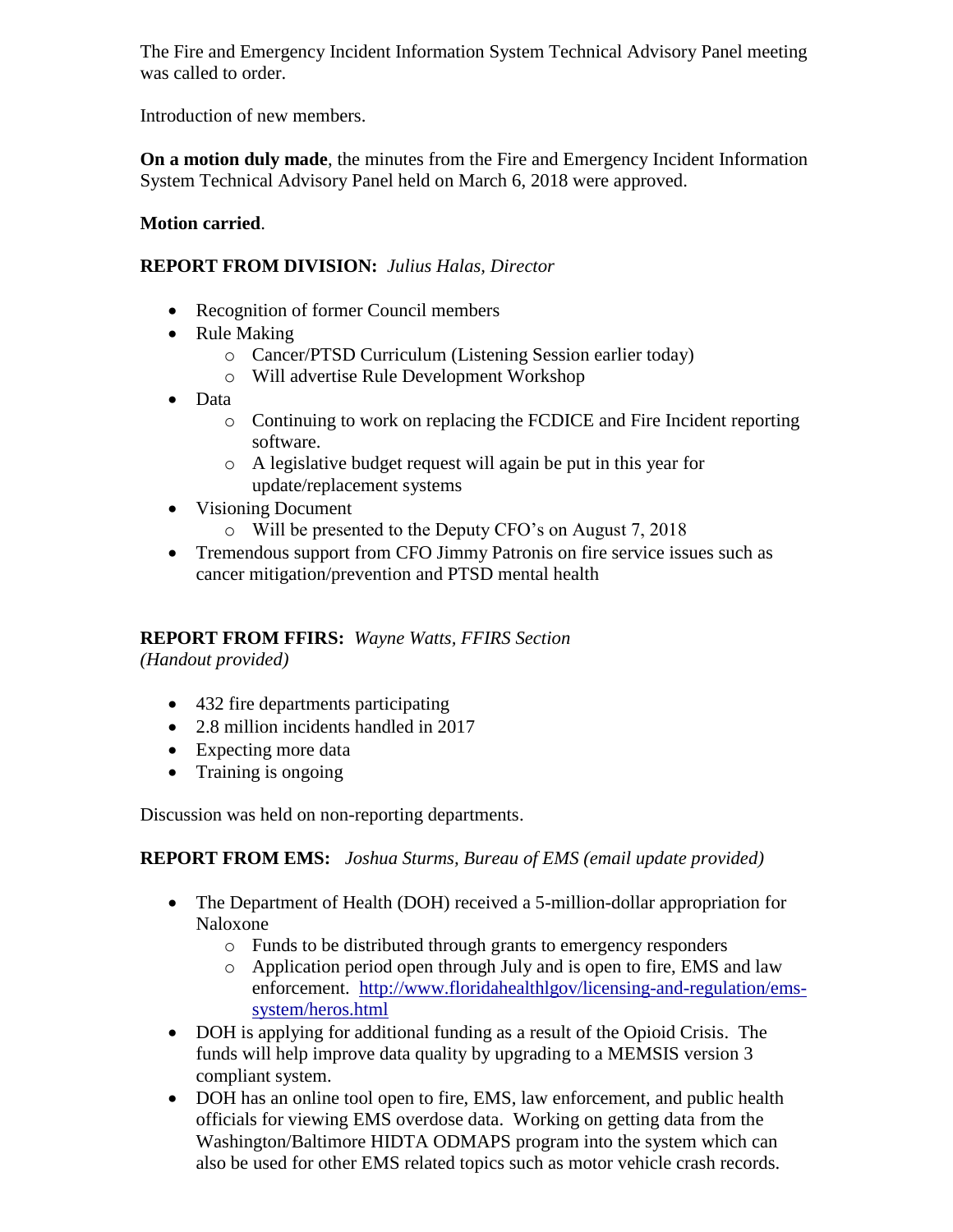The Fire and Emergency Incident Information System Technical Advisory Panel meeting was called to order.

Introduction of new members.

**On a motion duly made**, the minutes from the Fire and Emergency Incident Information System Technical Advisory Panel held on March 6, 2018 were approved.

### **Motion carried**.

#### **REPORT FROM DIVISION:** *Julius Halas, Director*

- Recognition of former Council members
- Rule Making
	- o Cancer/PTSD Curriculum (Listening Session earlier today)
	- o Will advertise Rule Development Workshop
- Data
	- o Continuing to work on replacing the FCDICE and Fire Incident reporting software.
	- o A legislative budget request will again be put in this year for update/replacement systems
- Visioning Document
	- o Will be presented to the Deputy CFO's on August 7, 2018
- Tremendous support from CFO Jimmy Patronis on fire service issues such as cancer mitigation/prevention and PTSD mental health

## **REPORT FROM FFIRS:** *Wayne Watts, FFIRS Section*

*(Handout provided)*

- 432 fire departments participating
- 2.8 million incidents handled in 2017
- Expecting more data
- Training is ongoing

Discussion was held on non-reporting departments.

## **REPORT FROM EMS:** *Joshua Sturms, Bureau of EMS (email update provided)*

- The Department of Health (DOH) received a 5-million-dollar appropriation for Naloxone
	- o Funds to be distributed through grants to emergency responders
	- o Application period open through July and is open to fire, EMS and law enforcement. [http://www.floridahealthlgov/licensing-and-regulation/ems](http://www.floridahealthlgov/licensing-and-regulation/ems-system/heros.html)[system/heros.html](http://www.floridahealthlgov/licensing-and-regulation/ems-system/heros.html)
- DOH is applying for additional funding as a result of the Opioid Crisis. The funds will help improve data quality by upgrading to a MEMSIS version 3 compliant system.
- DOH has an online tool open to fire, EMS, law enforcement, and public health officials for viewing EMS overdose data. Working on getting data from the Washington/Baltimore HIDTA ODMAPS program into the system which can also be used for other EMS related topics such as motor vehicle crash records.